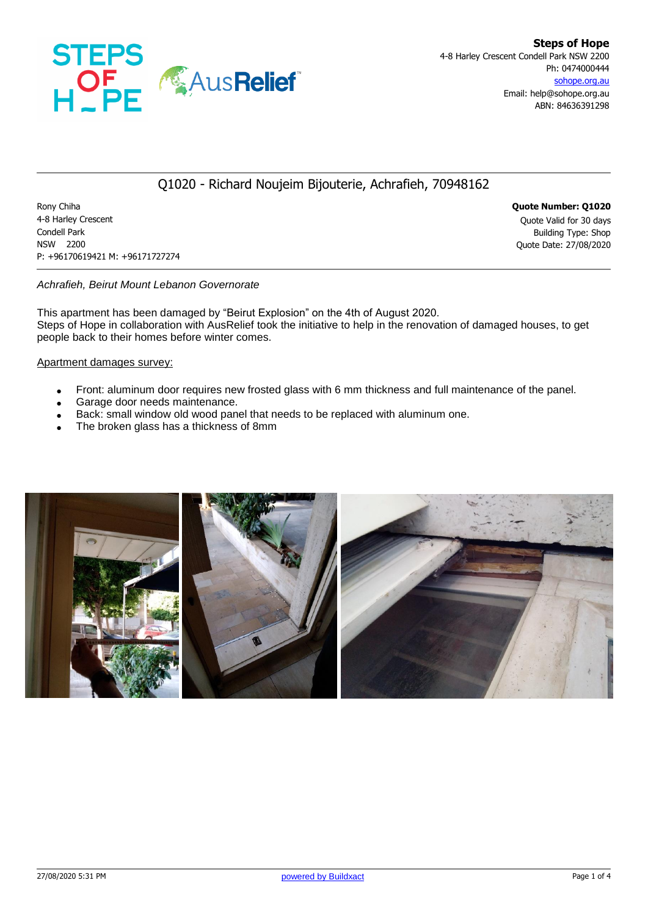

### Q1020 - Richard Noujeim Bijouterie, Achrafieh, 70948162

Rony Chiha **Quote Number: Q1020** 4-8 Harley Crescent Quote Valid for 30 days **Condell Park** Building Type: Shop NSW 2200 Quote Date: 27/08/2020 P: +96170619421 M: +96171727274

#### *Achrafieh, Beirut Mount Lebanon Governorate*

This apartment has been damaged by "Beirut Explosion" on the 4th of August 2020. Steps of Hope in collaboration with AusRelief took the initiative to help in the renovation of damaged houses, to get people back to their homes before winter comes.

#### Apartment damages survey:

- Front: aluminum door requires new frosted glass with 6 mm thickness and full maintenance of the panel.
- Garage door needs maintenance.
- Back: small window old wood panel that needs to be replaced with aluminum one.
- The broken glass has a thickness of 8mm

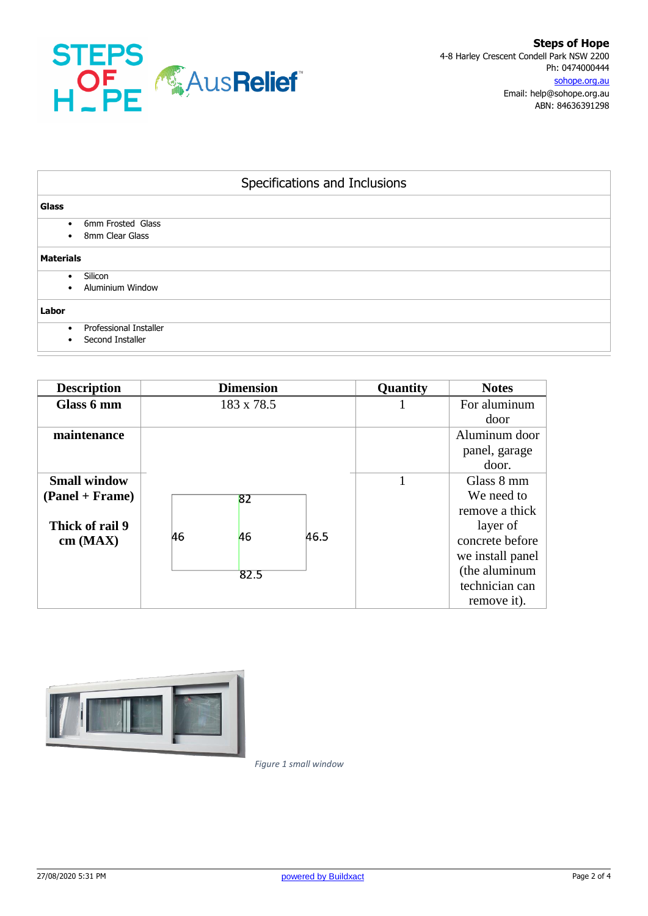

| Specifications and Inclusions                                  |  |  |  |  |  |
|----------------------------------------------------------------|--|--|--|--|--|
| Glass                                                          |  |  |  |  |  |
| 6mm Frosted Glass<br>$\bullet$<br>8mm Clear Glass<br>$\bullet$ |  |  |  |  |  |
| <b>Materials</b>                                               |  |  |  |  |  |
| Silicon<br>٠<br><b>Aluminium Window</b><br>$\bullet$           |  |  |  |  |  |
| Labor                                                          |  |  |  |  |  |
| Professional Installer<br>$\bullet$<br>Second Installer<br>٠   |  |  |  |  |  |

| <b>Description</b>                                                       | <b>Dimension</b>       |      | Quantity | <b>Notes</b>                                                                                                                                    |  |
|--------------------------------------------------------------------------|------------------------|------|----------|-------------------------------------------------------------------------------------------------------------------------------------------------|--|
| Glass 6 mm                                                               | 183 x 78.5             |      |          | For aluminum<br>door                                                                                                                            |  |
| maintenance                                                              |                        |      |          | Aluminum door<br>panel, garage<br>door.                                                                                                         |  |
| <b>Small window</b><br>$( Panel + Frame)$<br>Thick of rail 9<br>cm (MAX) | 82<br>46<br>46<br>82.5 | 46.5 |          | Glass 8 mm<br>We need to<br>remove a thick<br>layer of<br>concrete before<br>we install panel<br>(the aluminum<br>technician can<br>remove it). |  |



*Figure 1 small window*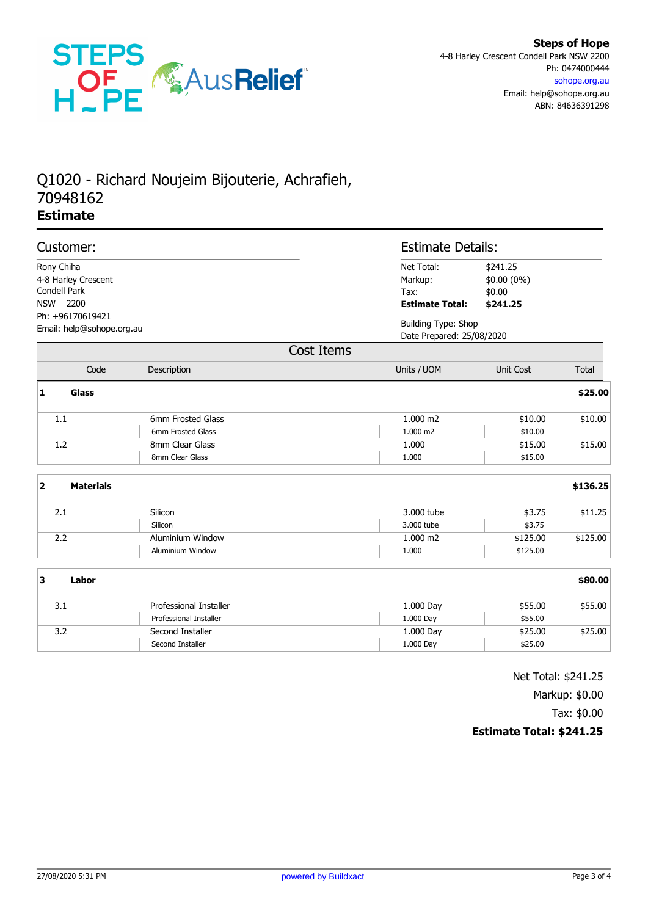

# Q1020 - Richard Noujeim Bijouterie, Achrafieh, 70948162 **Estimate**

| Customer:                                     |                                                               |                                                  | <b>Estimate Details:</b>                                |                                                         |          |  |
|-----------------------------------------------|---------------------------------------------------------------|--------------------------------------------------|---------------------------------------------------------|---------------------------------------------------------|----------|--|
|                                               | Rony Chiha<br>4-8 Harley Crescent<br>Condell Park<br>NSW 2200 |                                                  | Net Total:<br>Markup:<br>Tax:<br><b>Estimate Total:</b> | \$241.25<br>\$0.00 (0%)<br>\$0.00<br>\$241.25           |          |  |
| Ph: +96170619421<br>Email: help@sohope.org.au |                                                               |                                                  |                                                         | <b>Building Type: Shop</b><br>Date Prepared: 25/08/2020 |          |  |
|                                               |                                                               |                                                  | Cost Items                                              |                                                         |          |  |
|                                               | Code                                                          | Description                                      | Units / UOM                                             | Unit Cost                                               | Total    |  |
| $\mathbf{1}$                                  | Glass                                                         |                                                  |                                                         |                                                         | \$25.00  |  |
|                                               | $1.1\,$                                                       | 6mm Frosted Glass<br>6mm Frosted Glass           | 1.000 m2<br>1.000 m2                                    | \$10.00<br>\$10.00                                      | \$10.00  |  |
|                                               | 1.2                                                           | 8mm Clear Glass<br>8mm Clear Glass               | 1.000<br>1.000                                          | \$15.00<br>\$15.00                                      | \$15.00  |  |
| $\overline{2}$                                | <b>Materials</b>                                              |                                                  |                                                         |                                                         | \$136.25 |  |
|                                               | 2.1                                                           | Silicon<br>Silicon                               | 3.000 tube<br>3.000 tube                                | \$3.75<br>\$3.75                                        | \$11.25  |  |
|                                               | 2.2                                                           | Aluminium Window<br>Aluminium Window             | 1.000 m2<br>1.000                                       | \$125.00<br>\$125.00                                    | \$125.00 |  |
| 3                                             | Labor                                                         |                                                  |                                                         |                                                         | \$80.00  |  |
|                                               | 3.1                                                           | Professional Installer<br>Professional Installer | 1.000 Day<br>1.000 Day                                  | \$55.00<br>\$55.00                                      | \$55.00  |  |
|                                               | 3.2                                                           | Second Installer<br>Second Installer             | 1.000 Day<br>1.000 Day                                  | \$25.00<br>\$25.00                                      | \$25.00  |  |

Net Total: \$241.25 Markup: \$0.00

Tax: \$0.00

### **Estimate Total: \$241.25**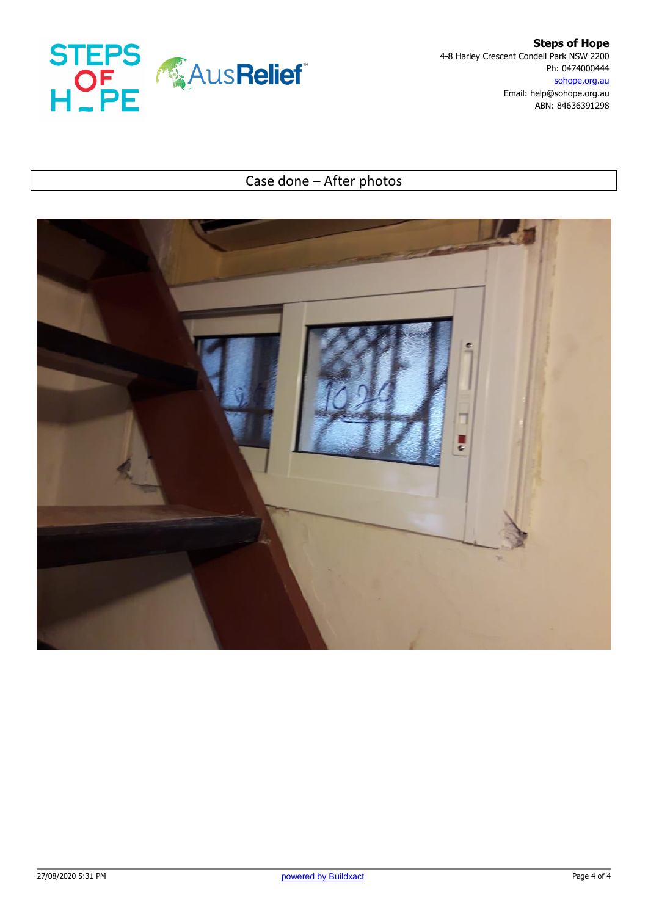

**Steps of Hope** 4-8 Harley Crescent Condell Park NSW 2200 Ph: 0474000444 sohope.org.au Email: help@sohope.org.au ABN: 84636391298

## Case done – After photos